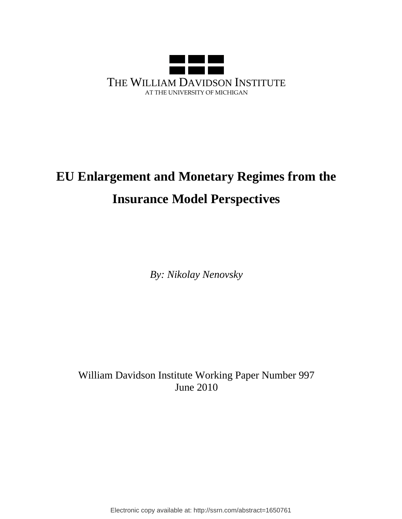

# **EU Enlargement and Monetary Regimes from the Insurance Model Perspectives**

*By: Nikolay Nenovsky* 

William Davidson Institute Working Paper Number 997 June 2010

Electronic copy available at: http://ssrn.com/abstract=1650761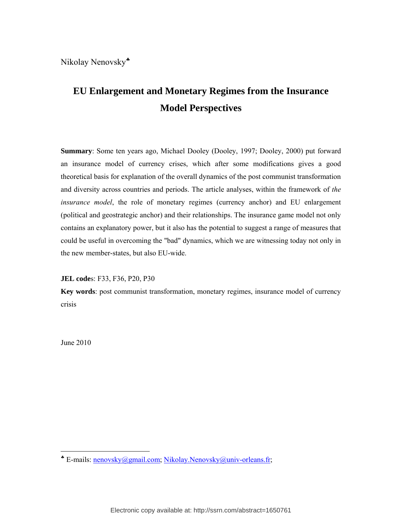Nikolay Nenovsky♣

## **EU Enlargement and Monetary Regimes from the Insurance Model Perspectives**

**Summary**: Some ten years ago, Michael Dooley (Dooley, 1997; Dooley, 2000) put forward an insurance model of currency crises, which after some modifications gives a good theoretical basis for explanation of the overall dynamics of the post communist transformation and diversity across countries and periods. The article analyses, within the framework of *the insurance model*, the role of monetary regimes (currency anchor) and EU enlargement (political and geostrategic anchor) and their relationships. The insurance game model not only contains an explanatory power, but it also has the potential to suggest a range of measures that could be useful in overcoming the "bad" dynamics, which we are witnessing today not only in the new member-states, but also EU-wide.

**JEL code**s: F33, F36, P20, P30

**Key words**: post communist transformation, monetary regimes, insurance model of currency crisis

June 2010

 $\overline{a}$ 

<sup>\*</sup> E-mails: nenovsky@gmail.com; Nikolay.Nenovsky@univ-orleans.fr;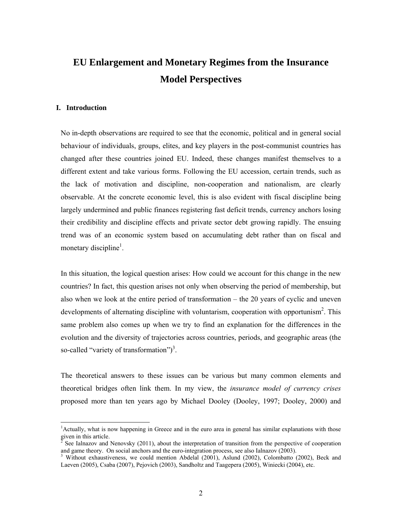### **EU Enlargement and Monetary Regimes from the Insurance Model Perspectives**

#### **I. Introduction**

l

No in-depth observations are required to see that the economic, political and in general social behaviour of individuals, groups, elites, and key players in the post-communist countries has changed after these countries joined EU. Indeed, these changes manifest themselves to a different extent and take various forms. Following the EU accession, certain trends, such as the lack of motivation and discipline, non-cooperation and nationalism, are clearly observable. At the concrete economic level, this is also evident with fiscal discipline being largely undermined and public finances registering fast deficit trends, currency anchors losing their credibility and discipline effects and private sector debt growing rapidly. The ensuing trend was of an economic system based on accumulating debt rather than on fiscal and monetary discipline<sup>1</sup>.

In this situation, the logical question arises: How could we account for this change in the new countries? In fact, this question arises not only when observing the period of membership, but also when we look at the entire period of transformation – the 20 years of cyclic and uneven developments of alternating discipline with voluntarism, cooperation with opportunism<sup>2</sup>. This same problem also comes up when we try to find an explanation for the differences in the evolution and the diversity of trajectories across countries, periods, and geographic areas (the so-called "variety of transformation")<sup>3</sup>.

The theoretical answers to these issues can be various but many common elements and theoretical bridges often link them. In my view, the *insurance model of currency crises* proposed more than ten years ago by Michael Dooley (Dooley, 1997; Dooley, 2000) and

<sup>&</sup>lt;sup>1</sup>Actually, what is now happening in Greece and in the euro area in general has similar explanations with those given in this article.<br> $^{2}$  See Jalpazov and 1

See Ialnazov and Nenovsky (2011), about the interpretation of transition from the perspective of cooperation and game theory. On social anchors and the euro-integration process, see also Ialnazov (2003).

<sup>&</sup>lt;sup>3</sup> Without exhaustiveness, we could mention Abdelal (2001), Aslund (2002), Colombatto (2002), Beck and Laeven (2005), Csaba (2007), Pejovich (2003), Sandholtz and Taagepera (2005), Winiecki (2004), etc.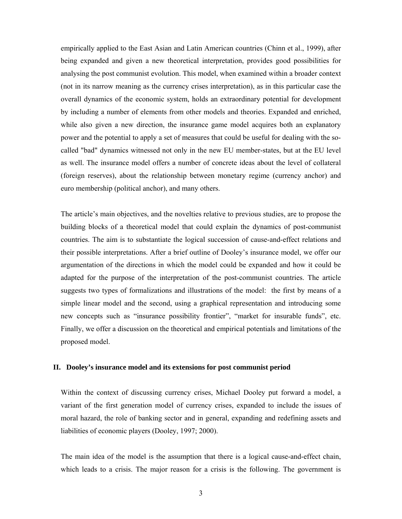empirically applied to the East Asian and Latin American countries (Chinn et al., 1999), after being expanded and given a new theoretical interpretation, provides good possibilities for analysing the post communist evolution. This model, when examined within a broader context (not in its narrow meaning as the currency crises interpretation), as in this particular case the overall dynamics of the economic system, holds an extraordinary potential for development by including a number of elements from other models and theories. Expanded and enriched, while also given a new direction, the insurance game model acquires both an explanatory power and the potential to apply a set of measures that could be useful for dealing with the socalled "bad" dynamics witnessed not only in the new EU member-states, but at the EU level as well. The insurance model offers a number of concrete ideas about the level of collateral (foreign reserves), about the relationship between monetary regime (currency anchor) and euro membership (political anchor), and many others.

The article's main objectives, and the novelties relative to previous studies, are to propose the building blocks of a theoretical model that could explain the dynamics of post-communist countries. The aim is to substantiate the logical succession of cause-and-effect relations and their possible interpretations. After a brief outline of Dooley's insurance model, we offer our argumentation of the directions in which the model could be expanded and how it could be adapted for the purpose of the interpretation of the post-communist countries. The article suggests two types of formalizations and illustrations of the model: the first by means of a simple linear model and the second, using a graphical representation and introducing some new concepts such as "insurance possibility frontier", "market for insurable funds", etc. Finally, we offer a discussion on the theoretical and empirical potentials and limitations of the proposed model.

#### **II. Dooley's insurance model and its extensions for post communist period**

Within the context of discussing currency crises, Michael Dooley put forward a model, a variant of the first generation model of currency crises, expanded to include the issues of moral hazard, the role of banking sector and in general, expanding and redefining assets and liabilities of economic players (Dooley, 1997; 2000).

The main idea of the model is the assumption that there is a logical cause-and-effect chain, which leads to a crisis. The major reason for a crisis is the following. The government is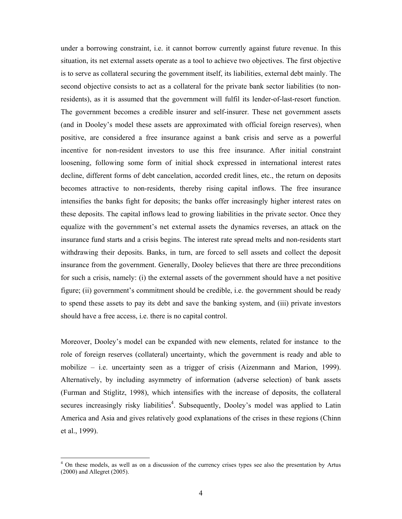under a borrowing constraint, i.e. it cannot borrow currently against future revenue. In this situation, its net external assets operate as a tool to achieve two objectives. The first objective is to serve as collateral securing the government itself, its liabilities, external debt mainly. The second objective consists to act as a collateral for the private bank sector liabilities (to nonresidents), as it is assumed that the government will fulfil its lender-of-last-resort function. The government becomes a credible insurer and self-insurer. These net government assets (and in Dooley's model these assets are approximated with official foreign reserves), when positive, are considered a free insurance against a bank crisis and serve as a powerful incentive for non-resident investors to use this free insurance. After initial constraint loosening, following some form of initial shock expressed in international interest rates decline, different forms of debt cancelation, accorded credit lines, etc., the return on deposits becomes attractive to non-residents, thereby rising capital inflows. The free insurance intensifies the banks fight for deposits; the banks offer increasingly higher interest rates on these deposits. The capital inflows lead to growing liabilities in the private sector. Once they equalize with the government's net external assets the dynamics reverses, an attack on the insurance fund starts and a crisis begins. The interest rate spread melts and non-residents start withdrawing their deposits. Banks, in turn, are forced to sell assets and collect the deposit insurance from the government. Generally, Dooley believes that there are three preconditions for such a crisis, namely: (i) the external assets of the government should have a net positive figure; (ii) government's commitment should be credible, i.e. the government should be ready to spend these assets to pay its debt and save the banking system, and (iii) private investors should have a free access, i.e. there is no capital control.

Moreover, Dooley's model can be expanded with new elements, related for instance to the role of foreign reserves (collateral) uncertainty, which the government is ready and able to mobilize – i.e. uncertainty seen as a trigger of crisis (Aizenmann and Marion, 1999). Alternatively, by including asymmetry of information (adverse selection) of bank assets (Furman and Stiglitz, 1998), which intensifies with the increase of deposits, the collateral secures increasingly risky liabilities<sup>4</sup>. Subsequently, Dooley's model was applied to Latin America and Asia and gives relatively good explanations of the crises in these regions (Chinn et al., 1999).

<sup>&</sup>lt;sup>4</sup> On these models, as well as on a discussion of the currency crises types see also the presentation by Artus (2000) and Allegret (2005).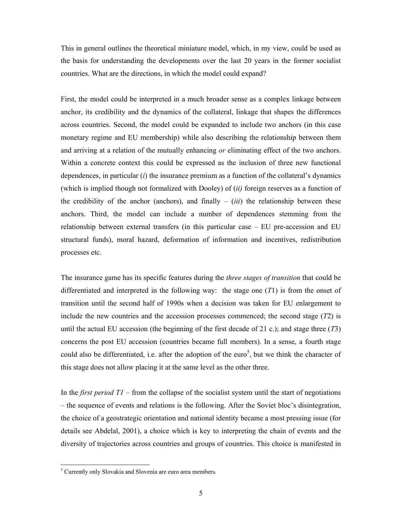This in general outlines the theoretical miniature model, which, in my view, could be used as the basis for understanding the developments over the last 20 years in the former socialist countries. What are the directions, in which the model could expand?

First, the model could be interpreted in a much broader sense as a complex linkage between anchor, its credibility and the dynamics of the collateral, linkage that shapes the differences across countries. Second, the model could be expanded to include two anchors (in this case monetary regime and EU membership) while also describing the relationship between them and arriving at a relation of the mutually enhancing *or* eliminating effect of the two anchors. Within a concrete context this could be expressed as the inclusion of three new functional dependences, in particular (*i*) the insurance premium as a function of the collateral's dynamics (which is implied though not formalized with Dooley) of (*ii)* foreign reserves as a function of the credibility of the anchor (anchors), and finally  $-$  (*iii*) the relationship between these anchors. Third, the model can include a number of dependences stemming from the relationship between external transfers (in this particular case – EU pre-accession and EU structural funds), moral hazard, deformation of information and incentives, redistribution processes etc.

The insurance game has its specific features during the *three stages of transition* that could be differentiated and interpreted in the following way: the stage one (*T*1) is from the onset of transition until the second half of 1990s when a decision was taken for EU enlargement to include the new countries and the accession processes commenced; the second stage (*T*2) is until the actual EU accession (the beginning of the first decade of 21 c.); and stage three (*T*3) concerns the post EU accession (countries became full members). In a sense, a fourth stage could also be differentiated, i.e. after the adoption of the euro<sup>5</sup>, but we think the character of this stage does not allow placing it at the same level as the other three.

In the *first period Т1* – from the collapse of the socialist system until the start of negotiations – the sequence of events and relations is the following. After the Soviet bloc's disintegration, the choice of a geostrategic orientation and national identity became a most pressing issue (for details see Abdelal, 2001), a choice which is key to interpreting the chain of events and the diversity of trajectories across countries and groups of countries. This choice is manifested in

<sup>&</sup>lt;sup>5</sup> Currently only Slovakia and Slovenia are euro area members.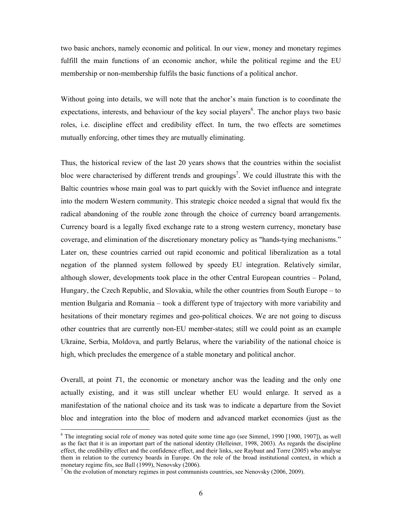two basic anchors, namely economic and political. In our view, money and monetary regimes fulfill the main functions of an economic anchor, while the political regime and the EU membership or non-membership fulfils the basic functions of a political anchor.

Without going into details, we will note that the anchor's main function is to coordinate the expectations, interests, and behaviour of the key social players<sup>6</sup>. The anchor plays two basic roles, i.e. discipline effect and credibility effect. In turn, the two effects are sometimes mutually enforcing, other times they are mutually eliminating.

Thus, the historical review of the last 20 years shows that the countries within the socialist bloc were characterised by different trends and groupings<sup>7</sup>. We could illustrate this with the Baltic countries whose main goal was to part quickly with the Soviet influence and integrate into the modern Western community. This strategic choice needed a signal that would fix the radical abandoning of the rouble zone through the choice of currency board arrangements. Currency board is a legally fixed exchange rate to a strong western currency, monetary base coverage, and elimination of the discretionary monetary policy as "hands-tying mechanisms." Later on, these countries carried out rapid economic and political liberalization as a total negation of the planned system followed by speedy EU integration. Relatively similar, although slower, developments took place in the other Central European countries – Poland, Hungary, the Czech Republic, and Slovakia, while the other countries from South Europe – to mention Bulgaria and Romania – took a different type of trajectory with more variability and hesitations of their monetary regimes and geo-political choices. We are not going to discuss other countries that are currently non-EU member-states; still we could point as an example Ukraine, Serbia, Moldova, and partly Belarus, where the variability of the national choice is high, which precludes the emergence of a stable monetary and political anchor.

Overall, at point *Т*1, the economic or monetary anchor was the leading and the only one actually existing, and it was still unclear whether EU would enlarge. It served as a manifestation of the national choice and its task was to indicate a departure from the Soviet bloc and integration into the bloc of modern and advanced market economies (just as the

<sup>&</sup>lt;sup>6</sup> The integrating social role of money was noted quite some time ago (see Simmel, 1990 [1900, 1907]), as well as the fact that it is an important part of the national identity (Helleiner, 1998, 2003). As regards the discipline effect, the credibility effect and the confidence effect, and their links, see Raybaut and Torre (2005) who analyse them in relation to the currency boards in Europe. On the role of the broad institutional context, in which a monetary regime fits, see Ball (1999), Nenovsky (2006).

 $<sup>7</sup>$  On the evolution of monetary regimes in post communists countries, see Nenovsky (2006, 2009).</sup>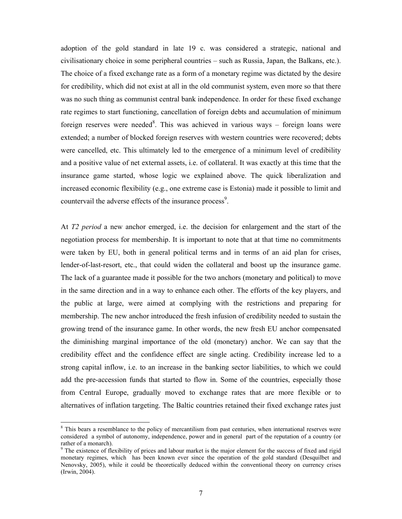adoption of the gold standard in late 19 c. was considered a strategic, national and civilisationary choice in some peripheral countries – such as Russia, Japan, the Balkans, etc.). The choice of a fixed exchange rate as a form of a monetary regime was dictated by the desire for credibility, which did not exist at all in the old communist system, even more so that there was no such thing as communist central bank independence. In order for these fixed exchange rate regimes to start functioning, cancellation of foreign debts and accumulation of minimum foreign reserves were needed<sup>8</sup>. This was achieved in various ways – foreign loans were extended; a number of blocked foreign reserves with western countries were recovered; debts were cancelled, etc. This ultimately led to the emergence of a minimum level of credibility and a positive value of net external assets, i.e. of collateral. It was exactly at this time that the insurance game started, whose logic we explained above. The quick liberalization and increased economic flexibility (e.g., one extreme case is Estonia) made it possible to limit and countervail the adverse effects of the insurance process<sup>9</sup>.

At *T<sub>2</sub> period* a new anchor emerged, i.e. the decision for enlargement and the start of the negotiation process for membership. It is important to note that at that time no commitments were taken by EU, both in general political terms and in terms of an aid plan for crises, lender-of-last-resort, etc., that could widen the collateral and boost up the insurance game. The lack of a guarantee made it possible for the two anchors (monetary and political) to move in the same direction and in a way to enhance each other. The efforts of the key players, and the public at large, were aimed at complying with the restrictions and preparing for membership. The new anchor introduced the fresh infusion of credibility needed to sustain the growing trend of the insurance game. In other words, the new fresh EU anchor compensated the diminishing marginal importance of the old (monetary) anchor. We can say that the credibility effect and the confidence effect are single acting. Credibility increase led to a strong capital inflow, i.e. to an increase in the banking sector liabilities, to which we could add the pre-accession funds that started to flow in. Some of the countries, especially those from Central Europe, gradually moved to exchange rates that are more flexible or to alternatives of inflation targeting. The Baltic countries retained their fixed exchange rates just

<sup>&</sup>lt;sup>8</sup> This bears a resemblance to the policy of mercantilism from past centuries, when international reserves were considered a symbol of autonomy, independence, power and in general part of the reputation of a country (or rather of a monarch).

<sup>&</sup>lt;sup>9</sup> The existence of flexibility of prices and labour market is the major element for the success of fixed and rigid monetary regimes, which has been known ever since the operation of the gold standard (Desquilbet and Nenovsky, 2005), while it could be theoretically deduced within the conventional theory on currency crises (Irwin, 2004).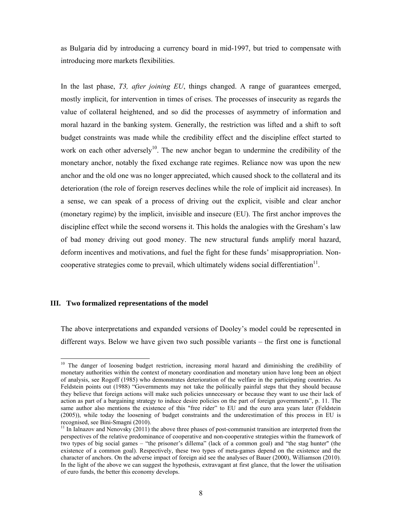as Bulgaria did by introducing a currency board in mid-1997, but tried to compensate with introducing more markets flexibilities.

In the last phase, *T3, after joining EU*, things changed. A range of guarantees emerged, mostly implicit, for intervention in times of crises. The processes of insecurity as regards the value of collateral heightened, and so did the processes of asymmetry of information and moral hazard in the banking system. Generally, the restriction was lifted and a shift to soft budget constraints was made while the credibility effect and the discipline effect started to work on each other adversely<sup>10</sup>. The new anchor began to undermine the credibility of the monetary anchor, notably the fixed exchange rate regimes. Reliance now was upon the new anchor and the old one was no longer appreciated, which caused shock to the collateral and its deterioration (the role of foreign reserves declines while the role of implicit aid increases). In a sense, we can speak of a process of driving out the explicit, visible and clear anchor (monetary regime) by the implicit, invisible and insecure (EU). The first anchor improves the discipline effect while the second worsens it. This holds the analogies with the Gresham's law of bad money driving out good money. The new structural funds amplify moral hazard, deform incentives and motivations, and fuel the fight for these funds' misappropriation. Noncooperative strategies come to prevail, which ultimately widens social differentiation $1<sup>1</sup>$ .

#### **III. Two formalized representations of the model**

l

The above interpretations and expanded versions of Dooley's model could be represented in different ways. Below we have given two such possible variants – the first one is functional

<sup>&</sup>lt;sup>10</sup> The danger of loosening budget restriction, increasing moral hazard and diminishing the credibility of monetary authorities within the context of monetary coordination and monetary union have long been an object of analysis, see Rogoff (1985) who demonstrates deterioration of the welfare in the participating countries. As Feldstein points out (1988) "Governments may not take the politically painful steps that they should because they believe that foreign actions will make such policies unnecessary or because they want to use their lack of action as part of a bargaining strategy to induce desire policies on the part of foreign governments", p. 11. The same author also mentions the existence of this "free rider" to EU and the euro area years later (Feldstein (2005)), while today the loosening of budget constraints and the underestimation of this process in EU is recognised, see Bini-Smagni (2010).

 $11$  In Ialnazov and Nenovsky (2011) the above three phases of post-communist transition are interpreted from the perspectives of the relative predominance of cooperative and non-cooperative strategies within the framework of two types of big social games – "the prisoner's dillema" (lack of a common goal) and "the stag hunter" (the existence of a common goal). Respectively, these two types of meta-games depend on the existence and the character of anchors. On the adverse impact of foreign aid see the analyses of Bauer (2000), Williamson (2010). In the light of the above we can suggest the hypothesis, extravagant at first glance, that the lower the utilisation of euro funds, the better this economy develops.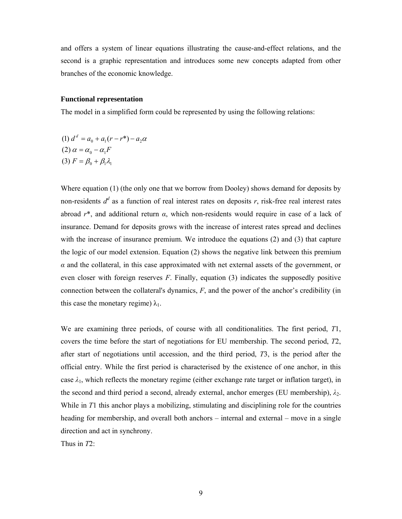and offers a system of linear equations illustrating the cause-and-effect relations, and the second is a graphic representation and introduces some new concepts adapted from other branches of the economic knowledge.

#### **Functional representation**

The model in a simplified form could be represented by using the following relations:

(3)  $F = \beta_0 + \beta_1 \lambda_1$  $(2) \alpha = \alpha_0 - \alpha_1 F$  $(1) d<sup>d</sup> = a<sub>0</sub> + a<sub>1</sub>(r - r^{*}) - a<sub>2</sub>\alpha$ 

Where equation (1) (the only one that we borrow from Dooley) shows demand for deposits by non-residents  $d^d$  as a function of real interest rates on deposits *r*, risk-free real interest rates abroad *r*\*, and additional return *α*, which non-residents would require in case of a lack of insurance. Demand for deposits grows with the increase of interest rates spread and declines with the increase of insurance premium. We introduce the equations (2) and (3) that capture the logic of our model extension. Equation (2) shows the negative link between this premium  $\alpha$  and the collateral, in this case approximated with net external assets of the government, or even closer with foreign reserves *F*. Finally, equation (3) indicates the supposedly positive connection between the collateral's dynamics, *F*, and the power of the anchor's credibility (in this case the monetary regime)  $\lambda_1$ .

We are examining three periods, of course with all conditionalities. The first period, *Т*1, covers the time before the start of negotiations for EU membership. The second period, *Т*2, after start of negotiations until accession, and the third period, *Т*3, is the period after the official entry. While the first period is characterised by the existence of one anchor, in this case  $\lambda_1$ , which reflects the monetary regime (either exchange rate target or inflation target), in the second and third period a second, already external, anchor emerges (EU membership), *λ*2. While in *T*1 this anchor plays a mobilizing, stimulating and disciplining role for the countries heading for membership, and overall both anchors – internal and external – move in a single direction and act in synchrony. Thus in *Т*2: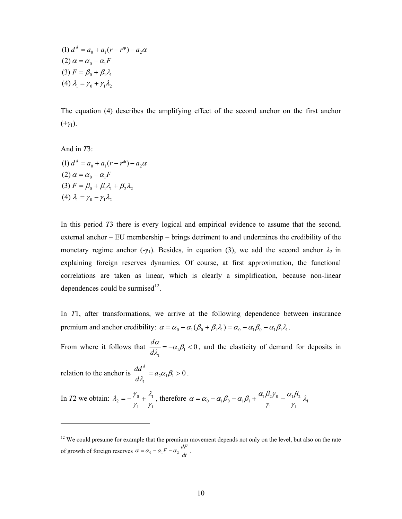(1) 
$$
d^d = a_0 + a_1(r - r^*) - a_2\alpha
$$
  
\n(2)  $\alpha = \alpha_0 - \alpha_1 F$   
\n(3)  $F = \beta_0 + \beta_1 \lambda_1$   
\n(4)  $\lambda_1 = \gamma_0 + \gamma_1 \lambda_2$ 

The equation (4) describes the amplifying effect of the second anchor on the first anchor (+*γ*1).

And in *Т*3:

l

(4)  $\lambda_1 = \gamma_0 - \gamma_1 \lambda_2$ (3)  $F = \beta_0 + \beta_1 \lambda_1 + \beta_2 \lambda_2$  $(2) \alpha = \alpha_0 - \alpha_1 F$  $(1) d<sup>d</sup> = a<sub>0</sub> + a<sub>1</sub>(r - r^{*}) - a<sub>2</sub>\alpha$ 

In this period *T*3 there is every logical and empirical evidence to assume that the second, external anchor – EU membership – brings detriment to and undermines the credibility of the monetary regime anchor (- $\gamma_1$ ). Besides, in equation (3), we add the second anchor  $\lambda_2$  in explaining foreign reserves dynamics. Of course, at first approximation, the functional correlations are taken as linear, which is clearly a simplification, because non-linear dependences could be surmised $^{12}$ .

In *T*1, after transformations, we arrive at the following dependence between insurance premium and anchor credibility:  $\alpha = \alpha_0 - \alpha_1 (\beta_0 + \beta_1 \lambda_1) = \alpha_0 - \alpha_1 \beta_0 - \alpha_1 \beta_1 \lambda_1$ .

From where it follows that  $\frac{d\alpha}{dt} = -\alpha_1 \beta_1 < 0$ 1  $\frac{\alpha}{\lambda} = -\alpha_1 \beta_1$ α *d*  $\frac{d\alpha}{dt} = -\alpha_1 \beta_1 < 0$ , and the elasticity of demand for deposits in

relation to the anchor is  $\frac{du}{dt} = a_2 \alpha_1 \beta_1 > 0$ 1  $\frac{a}{\lambda_1} = a_2 \alpha_1 \beta_1 >$ *d*  $\frac{dd^d}{dt^d} = a_2 \alpha_1 \beta_1 > 0$ .

In *Т*2 we obtain: 1 1 1  $v_2 = -\frac{\gamma_0}{\gamma_1} + \frac{\lambda}{\gamma_2}$ λ  $\lambda_2 = -\frac{\gamma_0}{\gamma_1} + \frac{\lambda_1}{\gamma_1}$ , therefore  $\alpha = \alpha_0 - \alpha_1\beta_0 - \alpha_1\beta_1 + \frac{\alpha_1\beta_2\gamma_0}{\gamma_1} - \frac{\alpha_1\beta_2}{\gamma_1}\lambda_1$ 1  $1\mu_2$ 1  $\alpha_0 - \alpha_1 \beta_0 - \alpha_1 \beta_1 + \frac{\alpha_1 \beta_2 \gamma_0}{\gamma_1} - \frac{\alpha_1 \beta_2}{\gamma_1} \lambda_1$  $\alpha_{1}\beta_{2}$ γ  $\alpha = \alpha_0 - \alpha_1 \beta_0 - \alpha_1 \beta_1 + \frac{\alpha_1 \beta_2 \gamma_0}{\alpha_1 \beta_2 \gamma_0}$ 

<sup>&</sup>lt;sup>12</sup> We could presume for example that the premium movement depends not only on the level, but also on the rate of growth of foreign reserves  $\alpha = \alpha_0 - \alpha_1 F - \alpha_2 \frac{dF}{dt}$ .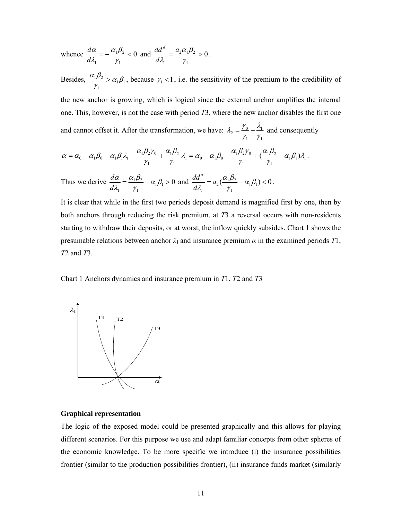whence  $\frac{d\alpha}{dt} = -\frac{\alpha_1 \beta_2}{2} < 0$ 1  $1\mu_2$ 1  $=-\frac{\mu_1 \mu_2}{\mu_1}$ γ  $\alpha_{1}\beta_{2}$ λ α *d*  $\frac{d\alpha}{dt} = -\frac{\alpha_1\beta_2}{dt} < 0$  and  $\frac{dd^d}{dt} = \frac{a_2\alpha_1\beta_2}{dt} > 0$ 1  $2^{\mathcal{U}_1\mathcal{V}_2}$ 1  $=\frac{u_2 u_1 p_2}{2}$ γ  $\alpha_1\beta_2$ λ *a d*  $\frac{dd^{d}}{dt} = \frac{a_2 \alpha_1 \beta_2}{a_2 \beta_1} > 0$ .

Besides,  $\frac{\alpha_1 p_2}{\mu} > \alpha_1 \beta_1$ 1  $\frac{1}{2} > \alpha_1 \beta_1$  $\frac{\alpha_1 \beta_2}{\gamma_1} > \alpha_1 \beta_1$ , because  $\gamma_1 < 1$ , i.e. the sensitivity of the premium to the credibility of the new anchor is growing, which is logical since the external anchor amplifies the internal one. This, however, is not the case with period *Т*3, where the new anchor disables the first one and cannot offset it. After the transformation, we have: 1 1 1  $v_2 = \frac{y_0}{\gamma_1} - \frac{\lambda}{\gamma_2}$ λ γ  $\lambda_2 = \frac{\gamma_0}{\gamma_0} - \frac{\lambda_1}{\lambda_1}$  and consequently

$$
\alpha = \alpha_0 - \alpha_1 \beta_0 - \alpha_1 \beta_1 \lambda_1 - \frac{\alpha_1 \beta_2 \gamma_0}{\gamma_1} + \frac{\alpha_1 \beta_2}{\gamma_1} \lambda_1 = \alpha_0 - \alpha_1 \beta_0 - \frac{\alpha_1 \beta_2 \gamma_0}{\gamma_1} + (\frac{\alpha_1 \beta_2}{\gamma_1} - \alpha_1 \beta_1) \lambda_1.
$$

Thus we derive  $\frac{d\alpha}{dt} = \frac{\alpha_1 \beta_2}{dt} - \alpha_1 \beta_1 > 0$ 1  $1\mu_2$ 1  $=\frac{\alpha_1 \mu_2}{\alpha_1 \beta_1}$ γ  $\alpha_1\beta_2$ λ α  $\frac{d\alpha}{d\lambda_1} = \frac{\alpha_1\beta_2}{\gamma_1} - \alpha_1\beta_1 > 0$  and  $\frac{dd^d}{d\lambda_1} = a_2(\frac{\alpha_1\beta_2}{\gamma_1} - \alpha_1\beta_1) < 0$ 1  $e^{(\frac{u_1 p_2}{a_1})}$ 1  $=a_2\left(\frac{\alpha_1\mu_2}{\alpha_1\beta_1}-\alpha_1\beta_1\right)$ γ  $\alpha_1\beta_2$  $\frac{a}{\lambda} = a$ *d*  $\frac{dd^d}{dt^2} = a_2 \left( \frac{\alpha_1 \beta_2}{\alpha_2} - \alpha_1 \beta_1 \right) < 0$ .

It is clear that while in the first two periods deposit demand is magnified first by one, then by both anchors through reducing the risk premium, at *T*3 a reversal occurs with non-residents starting to withdraw their deposits, or at worst, the inflow quickly subsides. Chart 1 shows the presumable relations between anchor *λ*1 and insurance premium *α* in the examined periods *Т*1, *Т*2 and *Т*3.

#### Chart 1 Anchors dynamics and insurance premium in *T*1, *T*2 and *T*3



#### **Graphical representation**

The logic of the exposed model could be presented graphically and this allows for playing different scenarios. For this purpose we use and adapt familiar concepts from other spheres of the economic knowledge. To be more specific we introduce (i) the insurance possibilities frontier (similar to the production possibilities frontier), (ii) insurance funds market (similarly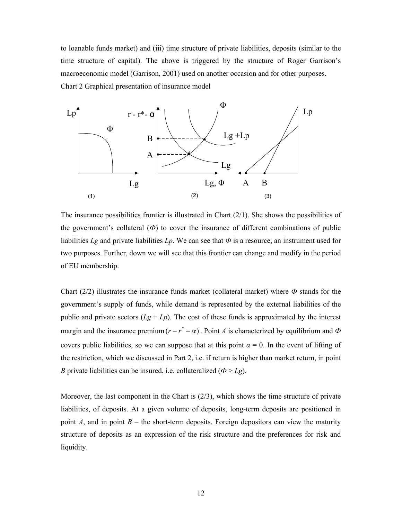to loanable funds market) and (iii) time structure of private liabilities, deposits (similar to the time structure of capital). The above is triggered by the structure of Roger Garrison's macroeconomic model (Garrison, 2001) used on another occasion and for other purposes. Chart 2 Graphical presentation of insurance model



The insurance possibilities frontier is illustrated in Chart (2/1). She shows the possibilities of the government's collateral  $(\phi)$  to cover the insurance of different combinations of public liabilities *Lg* and private liabilities *Lp*. We can see that  $\Phi$  is a resource, an instrument used for two purposes. Further, down we will see that this frontier can change and modify in the period of EU membership.

Chart (2/2) illustrates the insurance funds market (collateral market) where *Ф* stands for the government's supply of funds, while demand is represented by the external liabilities of the public and private sectors  $(Lg + Lp)$ . The cost of these funds is approximated by the interest margin and the insurance premium  $(r - r^* - \alpha)$ . Point *A* is characterized by equilibrium and  $\Phi$ covers public liabilities, so we can suppose that at this point  $\alpha = 0$ . In the event of lifting of the restriction, which we discussed in Part 2, i.e. if return is higher than market return, in point *B* private liabilities can be insured, i.e. collateralized ( $\Phi > Lg$ ).

Moreover, the last component in the Chart is (2/3), which shows the time structure of private liabilities, of deposits. At a given volume of deposits, long-term deposits are positioned in point *A*, and in point  $B$  – the short-term deposits. Foreign depositors can view the maturity structure of deposits as an expression of the risk structure and the preferences for risk and liquidity.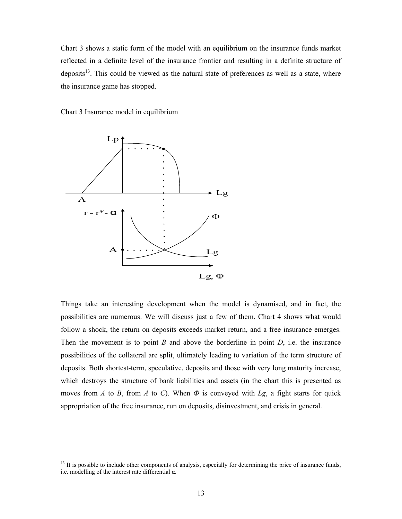Chart 3 shows a static form of the model with an equilibrium on the insurance funds market reflected in a definite level of the insurance frontier and resulting in a definite structure of deposits<sup>13</sup>. This could be viewed as the natural state of preferences as well as a state, where the insurance game has stopped.

Chart 3 Insurance model in equilibrium

l



Things take an interesting development when the model is dynamised, and in fact, the possibilities are numerous. We will discuss just a few of them. Chart 4 shows what would follow a shock, the return on deposits exceeds market return, and a free insurance emerges. Then the movement is to point *В* and above the borderline in point *D*, i.e. the insurance possibilities of the collateral are split, ultimately leading to variation of the term structure of deposits. Both shortest-term, speculative, deposits and those with very long maturity increase, which destroys the structure of bank liabilities and assets (in the chart this is presented as moves from *A* to *B*, from *A* to *C*). When  $\Phi$  is conveyed with *Lg*, a fight starts for quick appropriation of the free insurance, run on deposits, disinvestment, and crisis in general.

<sup>&</sup>lt;sup>13</sup> It is possible to include other components of analysis, especially for determining the price of insurance funds, i.e. modelling of the interest rate differential α.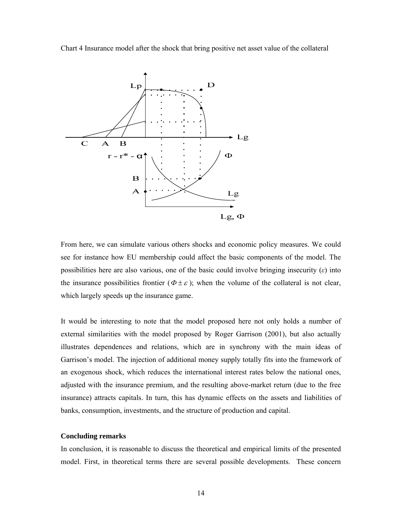Chart 4 Insurance model after the shock that bring positive net asset value of the collateral



From here, we can simulate various others shocks and economic policy measures. We could see for instance how EU membership could affect the basic components of the model. The possibilities here are also various, one of the basic could involve bringing insecurity  $(\varepsilon)$  into the insurance possibilities frontier ( $\Phi \pm \varepsilon$ ); when the volume of the collateral is not clear, which largely speeds up the insurance game.

It would be interesting to note that the model proposed here not only holds a number of external similarities with the model proposed by Roger Garrison (2001), but also actually illustrates dependences and relations, which are in synchrony with the main ideas of Garrison's model. The injection of additional money supply totally fits into the framework of an exogenous shock, which reduces the international interest rates below the national ones, adjusted with the insurance premium, and the resulting above-market return (due to the free insurance) attracts capitals. In turn, this has dynamic effects on the assets and liabilities of banks, consumption, investments, and the structure of production and capital.

#### **Concluding remarks**

In conclusion, it is reasonable to discuss the theoretical and empirical limits of the presented model. First, in theoretical terms there are several possible developments. These concern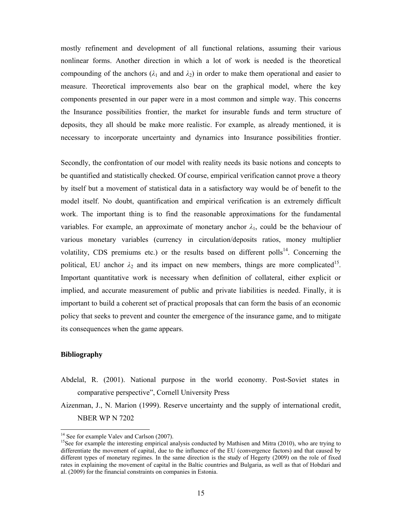mostly refinement and development of all functional relations, assuming their various nonlinear forms. Another direction in which a lot of work is needed is the theoretical compounding of the anchors ( $\lambda_1$  and and  $\lambda_2$ ) in order to make them operational and easier to measure. Theoretical improvements also bear on the graphical model, where the key components presented in our paper were in a most common and simple way. This concerns the Insurance possibilities frontier, the market for insurable funds and term structure of deposits, they all should be make more realistic. For example, as already mentioned, it is necessary to incorporate uncertainty and dynamics into Insurance possibilities frontier.

Secondly, the confrontation of our model with reality needs its basic notions and concepts to be quantified and statistically checked. Of course, empirical verification cannot prove a theory by itself but a movement of statistical data in a satisfactory way would be of benefit to the model itself. No doubt, quantification and empirical verification is an extremely difficult work. The important thing is to find the reasonable approximations for the fundamental variables. For example, an approximate of monetary anchor  $\lambda_1$ , could be the behaviour of various monetary variables (currency in circulation/deposits ratios, money multiplier volatility, CDS premiums etc.) or the results based on different polls<sup>14</sup>. Concerning the political, EU anchor  $\lambda_2$  and its impact on new members, things are more complicated<sup>15</sup>. Important quantitative work is necessary when definition of collateral, either explicit or implied, and accurate measurement of public and private liabilities is needed. Finally, it is important to build a coherent set of practical proposals that can form the basis of an economic policy that seeks to prevent and counter the emergence of the insurance game, and to mitigate its consequences when the game appears.

#### **Bibliography**

- Abdelal, R. (2001). National purpose in the world economy. Post-Soviet states in comparative perspective", Cornell University Press
- Aizenman, J., N. Marion (1999). Reserve uncertainty and the supply of international credit, NBER WP N 7202

<sup>&</sup>lt;sup>14</sup> See for example Valev and Carlson (2007).

<sup>&</sup>lt;sup>15</sup>See for example the interesting empirical analysis conducted by Mathisen and Mitra (2010), who are trying to differentiate the movement of capital, due to the influence of the EU (convergence factors) and that caused by different types of monetary regimes. In the same direction is the study of Hegerty (2009) on the role of fixed rates in explaining the movement of capital in the Baltic countries and Bulgaria, as well as that of Hobdari and al. (2009) for the financial constraints on companies in Estonia.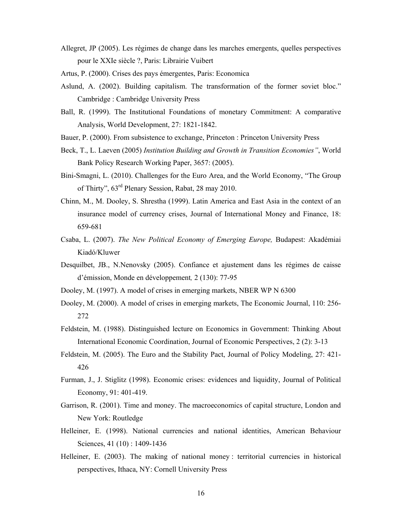- Allegret, JP (2005). Les régimes de change dans les marches emergents, quelles perspectives pour le XXIe siècle ?, Paris: Librairie Vuibert
- Artus, P. (2000). Crises des pays émergentes, Paris: Economica
- Aslund, A. (2002). Building capitalism. The transformation of the former soviet bloc." Cambridge : Cambridge University Press
- Ball, R. (1999). The Institutional Foundations of monetary Commitment: A comparative Analysis, World Development, 27: 1821-1842.
- Bauer, P. (2000). From subsistence to exchange, Princeton : Princeton University Press
- Beck, T., L. Laeven (2005) *Institution Building and Growth in Transition Economies"*, World Bank Policy Research Working Paper, 3657: (2005).
- Bini-Smagni, L. (2010). Challenges for the Euro Area, and the World Economy, "The Group of Thirty", 63rd Plenary Session, Rabat, 28 may 2010.
- Chinn, M., M. Dooley, S. Shrestha (1999). Latin America and East Asia in the context of an insurance model of currency crises, Journal of International Money and Finance, 18: 659-681
- Csaba, L. (2007). *The New Political Economy of Emerging Europe,* Budapest: Akadémiai Kiadó/Kluwer
- Desquilbet, JB., N.Nenovsky (2005). Confiance et ajustement dans les régimes de caisse d'émission, Monde en développement*,* 2 (130): 77-95
- Dooley, M. (1997). A model of crises in emerging markets, NBER WP N 6300
- Dooley, M. (2000). A model of crises in emerging markets, The Economic Journal, 110: 256- 272
- Feldstein, M. (1988). Distinguished lecture on Economics in Government: Thinking About International Economic Coordination, Journal of Economic Perspectives, 2 (2): 3-13
- Feldstein, M. (2005). The Euro and the Stability Pact, Journal of Policy Modeling, 27: 421- 426
- Furman, J., J. Stiglitz (1998). Economic crises: evidences and liquidity, Journal of Political Economy, 91: 401-419.
- Garrison, R. (2001). Time and money. The macroeconomics of capital structure, London and New York: Routledge
- Helleiner, E. (1998). National currencies and national identities, American Behaviour Sciences, 41 (10) : 1409-1436
- Helleiner, E. (2003). The making of national money : territorial currencies in historical perspectives, Ithaca, NY: Cornell University Press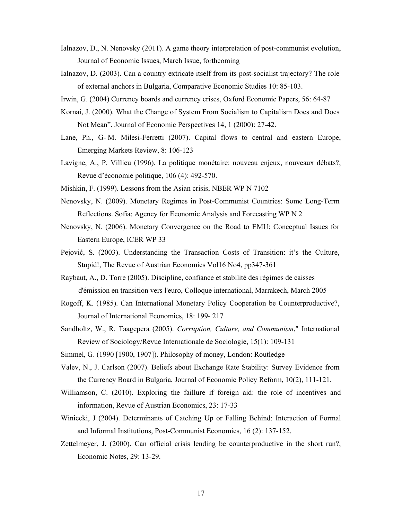- Ialnazov, D., N. Nenovsky (2011). A game theory interpretation of post-communist evolution, Journal of Economic Issues, March Issue, forthcoming
- Ialnazov, D. (2003). Can a country extricate itself from its post-socialist trajectory? The role of external anchors in Bulgaria, Comparative Economic Studies 10: 85-103.
- Irwin, G. (2004) Currency boards and currency crises, Oxford Economic Papers, 56: 64-87
- Kornai, J. (2000). What the Change of System From Socialism to Capitalism Does and Does Not Mean". Journal of Economic Perspectives 14, 1 (2000): 27-42.
- Lane, Ph., G- M. Milesi-Ferretti (2007). Capital flows to central and eastern Europe, Emerging Markets Review, 8: 106-123
- Lavigne, A., P. Villieu (1996). La politique monétaire: nouveau enjeux, nouveaux débats?, Revue d'économie politique, 106 (4): 492-570.
- Mishkin, F. (1999). Lessons from the Asian crisis, NBER WP N 7102
- Nenovsky, N. (2009). Monetary Regimes in Post-Communist Countries: Some Long-Term Reflections. Sofia: Agency for Economic Analysis and Forecasting WP N 2
- Nenovsky, N. (2006). Monetary Convergence on the Road to EMU: Conceptual Issues for Eastern Europe, ICER WP 33
- Pejović, S. (2003). Understanding the Transaction Costs of Transition: it's the Culture, Stupid!, The Revue of Austrian Economics Vol16 No4, pp347-361
- Raybaut, A., D. Torre (2005). Discipline, confiance et stabilité des régimes de caisses d'émission en transition vers l'euro, Colloque international, Marrakech, March 2005
- Rogoff, K. (1985). Can International Monetary Policy Cooperation be Counterproductive?, Journal of International Economics, 18: 199- 217
- Sandholtz, W., R. Taagepera (2005). *Corruption, Culture, and Communism*," International Review of Sociology/Revue Internationale de Sociologie, 15(1): 109-131
- Simmel, G. (1990 [1900, 1907]). Philosophy of money, London: Routledge
- Valev, N., J. Carlson (2007). Beliefs about Exchange Rate Stability: Survey Evidence from the Currency Board in Bulgaria, Journal of Economic Policy Reform, 10(2), 111-121.
- Williamson, C. (2010). Exploring the faillure if foreign aid: the role of incentives and information, Revue of Austrian Economics, 23: 17-33
- Winiecki, J (2004). Determinants of Catching Up or Falling Behind: Interaction of Formal and Informal Institutions, Post-Communist Economies, 16 (2): 137-152.
- Zettelmeyer, J. (2000). Can official crisis lending be counterproductive in the short run?, Economic Notes, 29: 13-29.